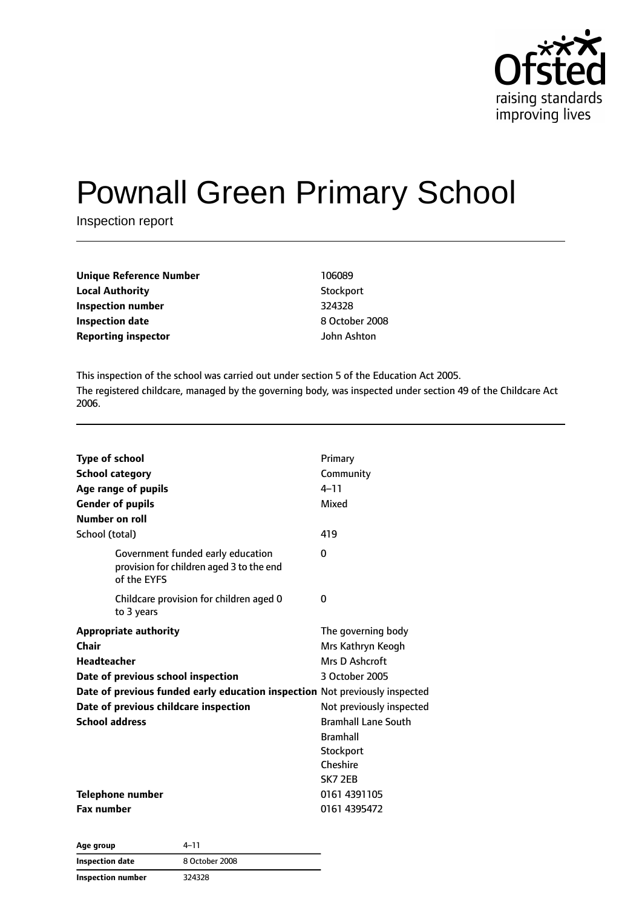

# Pownall Green Primary School

Inspection report

| Unique Reference Number    | 106089         |
|----------------------------|----------------|
| <b>Local Authority</b>     | Stockport      |
| <b>Inspection number</b>   | 324328         |
| <b>Inspection date</b>     | 8 October 2008 |
| <b>Reporting inspector</b> | John Ashton    |

This inspection of the school was carried out under section 5 of the Education Act 2005. The registered childcare, managed by the governing body, was inspected under section 49 of the Childcare Act 2006.

| <b>Type of school</b><br><b>School category</b><br>Age range of pupils<br><b>Gender of pupils</b> | Primary<br>Community<br>$4 - 11$<br>Mixed |
|---------------------------------------------------------------------------------------------------|-------------------------------------------|
| Number on roll                                                                                    |                                           |
| School (total)                                                                                    | 419                                       |
| Government funded early education<br>provision for children aged 3 to the end<br>of the EYFS      | 0                                         |
| Childcare provision for children aged 0<br>to 3 years                                             | 0                                         |
| <b>Appropriate authority</b>                                                                      | The governing body                        |
| Chair                                                                                             | Mrs Kathryn Keogh                         |
| <b>Headteacher</b>                                                                                | Mrs D Ashcroft                            |
| Date of previous school inspection                                                                | 3 October 2005                            |
| Date of previous funded early education inspection Not previously inspected                       |                                           |
| Date of previous childcare inspection                                                             | Not previously inspected                  |
| <b>School address</b>                                                                             | <b>Bramhall Lane South</b>                |
|                                                                                                   | <b>Bramhall</b>                           |
|                                                                                                   | Stockport                                 |
|                                                                                                   | Cheshire                                  |
|                                                                                                   | <b>SK7 2EB</b>                            |
| Telephone number                                                                                  | 0161 4391105                              |
| <b>Fax number</b>                                                                                 | 0161 4395472                              |

| Age group              | 4–11           |  |
|------------------------|----------------|--|
| <b>Inspection date</b> | 8 October 2008 |  |
| Inspection number      | 324328         |  |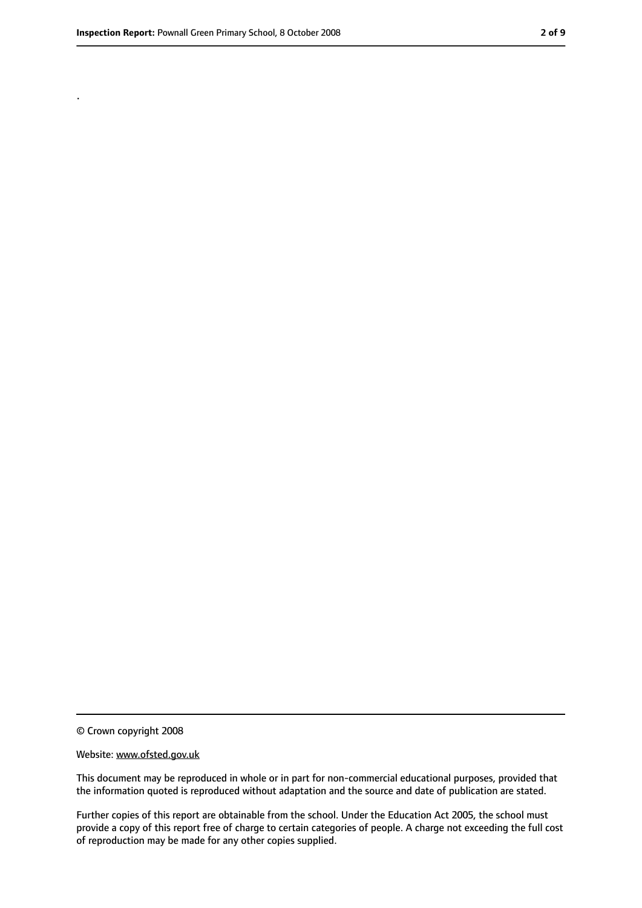.

<sup>©</sup> Crown copyright 2008

Website: www.ofsted.gov.uk

This document may be reproduced in whole or in part for non-commercial educational purposes, provided that the information quoted is reproduced without adaptation and the source and date of publication are stated.

Further copies of this report are obtainable from the school. Under the Education Act 2005, the school must provide a copy of this report free of charge to certain categories of people. A charge not exceeding the full cost of reproduction may be made for any other copies supplied.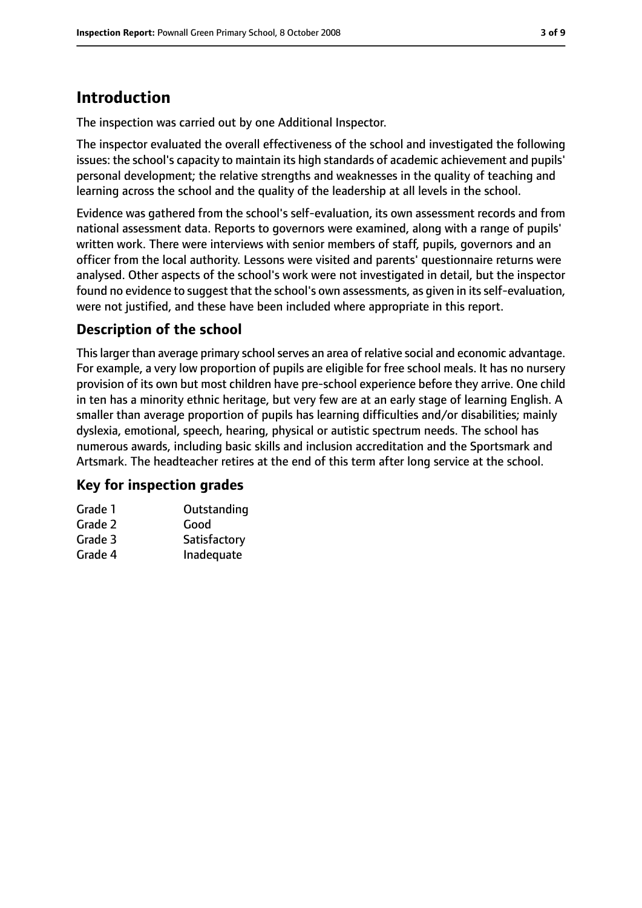## **Introduction**

The inspection was carried out by one Additional Inspector.

The inspector evaluated the overall effectiveness of the school and investigated the following issues: the school's capacity to maintain its high standards of academic achievement and pupils' personal development; the relative strengths and weaknesses in the quality of teaching and learning across the school and the quality of the leadership at all levels in the school.

Evidence was gathered from the school's self-evaluation, its own assessment records and from national assessment data. Reports to governors were examined, along with a range of pupils' written work. There were interviews with senior members of staff, pupils, governors and an officer from the local authority. Lessons were visited and parents' questionnaire returns were analysed. Other aspects of the school's work were not investigated in detail, but the inspector found no evidence to suggest that the school's own assessments, as given in its self-evaluation, were not justified, and these have been included where appropriate in this report.

## **Description of the school**

This larger than average primary school serves an area of relative social and economic advantage. For example, a very low proportion of pupils are eligible for free school meals. It has no nursery provision of its own but most children have pre-school experience before they arrive. One child in ten has a minority ethnic heritage, but very few are at an early stage of learning English. A smaller than average proportion of pupils has learning difficulties and/or disabilities; mainly dyslexia, emotional, speech, hearing, physical or autistic spectrum needs. The school has numerous awards, including basic skills and inclusion accreditation and the Sportsmark and Artsmark. The headteacher retires at the end of this term after long service at the school.

### **Key for inspection grades**

| Grade 1 | Outstanding  |
|---------|--------------|
| Grade 2 | Good         |
| Grade 3 | Satisfactory |
| Grade 4 | Inadequate   |
|         |              |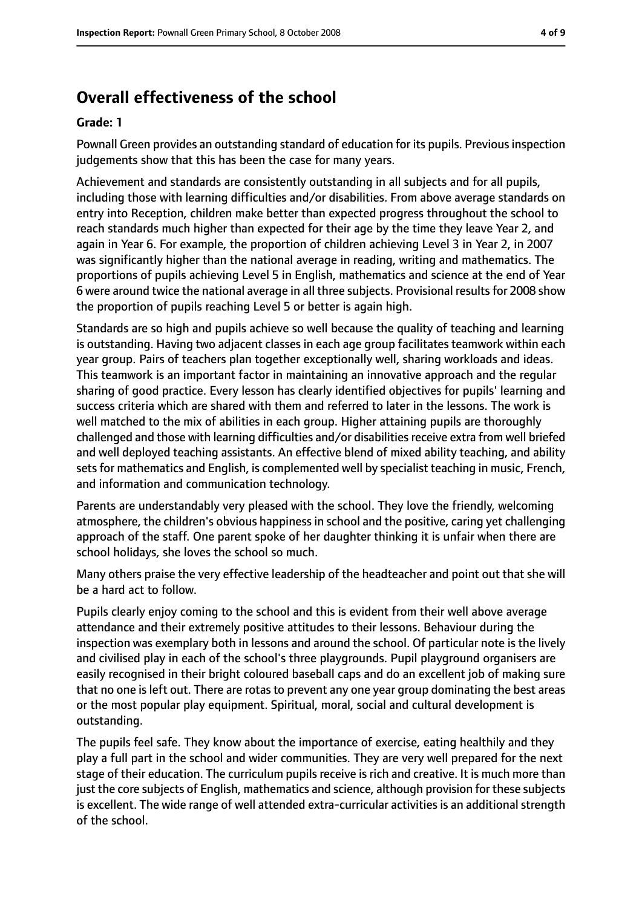# **Overall effectiveness of the school**

#### **Grade: 1**

Pownall Green provides an outstanding standard of education for its pupils. Previous inspection judgements show that this has been the case for many years.

Achievement and standards are consistently outstanding in all subjects and for all pupils, including those with learning difficulties and/or disabilities. From above average standards on entry into Reception, children make better than expected progress throughout the school to reach standards much higher than expected for their age by the time they leave Year 2, and again in Year 6. For example, the proportion of children achieving Level 3 in Year 2, in 2007 was significantly higher than the national average in reading, writing and mathematics. The proportions of pupils achieving Level 5 in English, mathematics and science at the end of Year 6 were around twice the national average in all three subjects. Provisional results for 2008 show the proportion of pupils reaching Level 5 or better is again high.

Standards are so high and pupils achieve so well because the quality of teaching and learning is outstanding. Having two adjacent classes in each age group facilitates teamwork within each year group. Pairs of teachers plan together exceptionally well, sharing workloads and ideas. This teamwork is an important factor in maintaining an innovative approach and the regular sharing of good practice. Every lesson has clearly identified objectives for pupils' learning and success criteria which are shared with them and referred to later in the lessons. The work is well matched to the mix of abilities in each group. Higher attaining pupils are thoroughly challenged and those with learning difficulties and/or disabilities receive extra from well briefed and well deployed teaching assistants. An effective blend of mixed ability teaching, and ability sets for mathematics and English, is complemented well by specialist teaching in music, French, and information and communication technology.

Parents are understandably very pleased with the school. They love the friendly, welcoming atmosphere, the children's obvious happiness in school and the positive, caring yet challenging approach of the staff. One parent spoke of her daughter thinking it is unfair when there are school holidays, she loves the school so much.

Many others praise the very effective leadership of the headteacher and point out that she will be a hard act to follow.

Pupils clearly enjoy coming to the school and this is evident from their well above average attendance and their extremely positive attitudes to their lessons. Behaviour during the inspection was exemplary both in lessons and around the school. Of particular note is the lively and civilised play in each of the school's three playgrounds. Pupil playground organisers are easily recognised in their bright coloured baseball caps and do an excellent job of making sure that no one is left out. There are rotas to prevent any one year group dominating the best areas or the most popular play equipment. Spiritual, moral, social and cultural development is outstanding.

The pupils feel safe. They know about the importance of exercise, eating healthily and they play a full part in the school and wider communities. They are very well prepared for the next stage of their education. The curriculum pupils receive is rich and creative. It is much more than just the core subjects of English, mathematics and science, although provision for these subjects is excellent. The wide range of well attended extra-curricular activities is an additional strength of the school.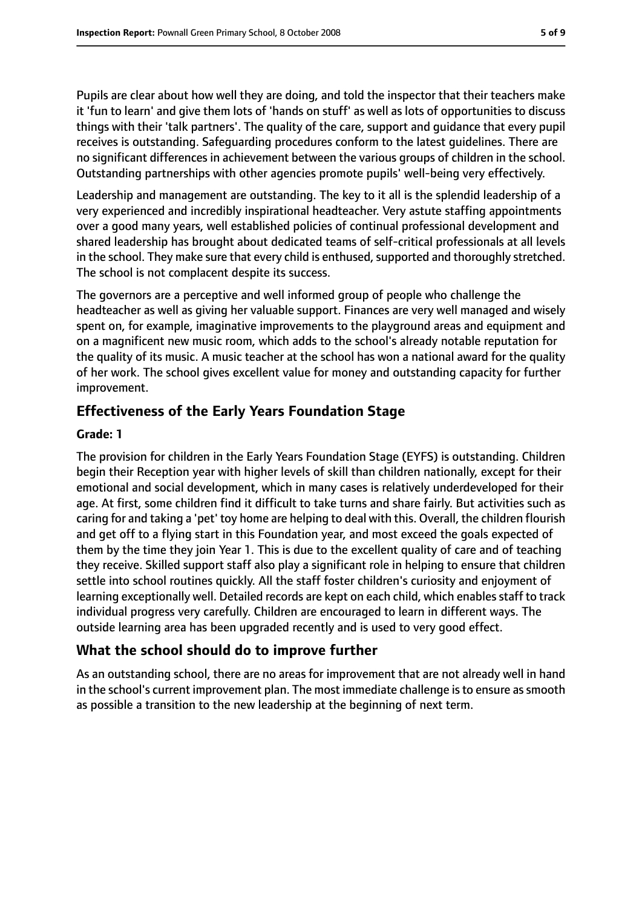Pupils are clear about how well they are doing, and told the inspector that their teachers make it 'fun to learn' and give them lots of 'hands on stuff' as well as lots of opportunities to discuss things with their 'talk partners'. The quality of the care, support and guidance that every pupil receives is outstanding. Safeguarding procedures conform to the latest guidelines. There are no significant differences in achievement between the various groups of children in the school. Outstanding partnerships with other agencies promote pupils' well-being very effectively.

Leadership and management are outstanding. The key to it all is the splendid leadership of a very experienced and incredibly inspirational headteacher. Very astute staffing appointments over a good many years, well established policies of continual professional development and shared leadership has brought about dedicated teams of self-critical professionals at all levels in the school. They make sure that every child is enthused, supported and thoroughly stretched. The school is not complacent despite its success.

The governors are a perceptive and well informed group of people who challenge the headteacher as well as giving her valuable support. Finances are very well managed and wisely spent on, for example, imaginative improvements to the playground areas and equipment and on a magnificent new music room, which adds to the school's already notable reputation for the quality of its music. A music teacher at the school has won a national award for the quality of her work. The school gives excellent value for money and outstanding capacity for further improvement.

## **Effectiveness of the Early Years Foundation Stage**

#### **Grade: 1**

The provision for children in the Early Years Foundation Stage (EYFS) is outstanding. Children begin their Reception year with higher levels of skill than children nationally, except for their emotional and social development, which in many cases is relatively underdeveloped for their age. At first, some children find it difficult to take turns and share fairly. But activities such as caring for and taking a 'pet' toy home are helping to deal with this. Overall, the children flourish and get off to a flying start in this Foundation year, and most exceed the goals expected of them by the time they join Year 1. This is due to the excellent quality of care and of teaching they receive. Skilled support staff also play a significant role in helping to ensure that children settle into school routines quickly. All the staff foster children's curiosity and enjoyment of learning exceptionally well. Detailed records are kept on each child, which enablesstaff to track individual progress very carefully. Children are encouraged to learn in different ways. The outside learning area has been upgraded recently and is used to very good effect.

## **What the school should do to improve further**

As an outstanding school, there are no areas for improvement that are not already well in hand in the school's current improvement plan. The most immediate challenge is to ensure as smooth as possible a transition to the new leadership at the beginning of next term.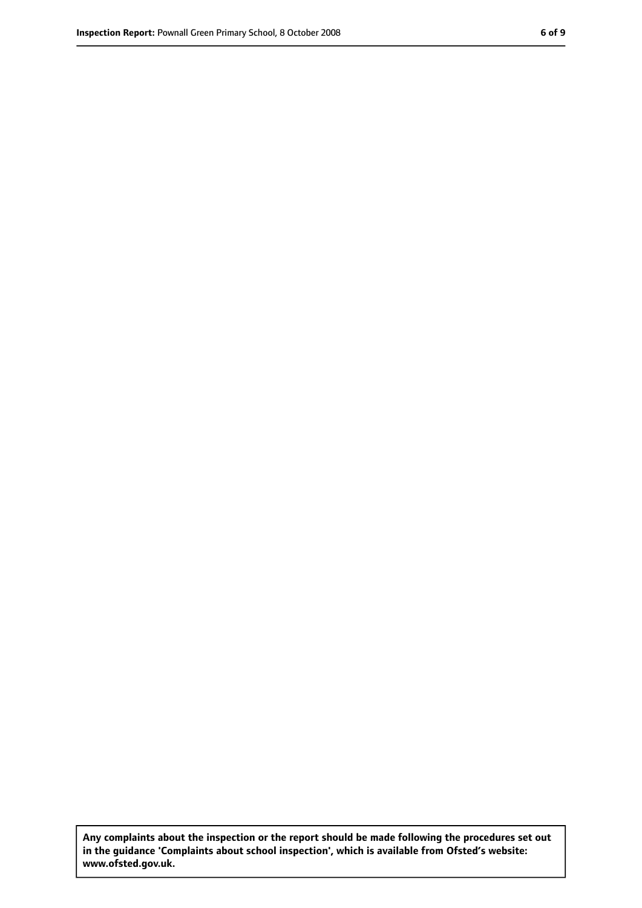**Any complaints about the inspection or the report should be made following the procedures set out in the guidance 'Complaints about school inspection', which is available from Ofsted's website: www.ofsted.gov.uk.**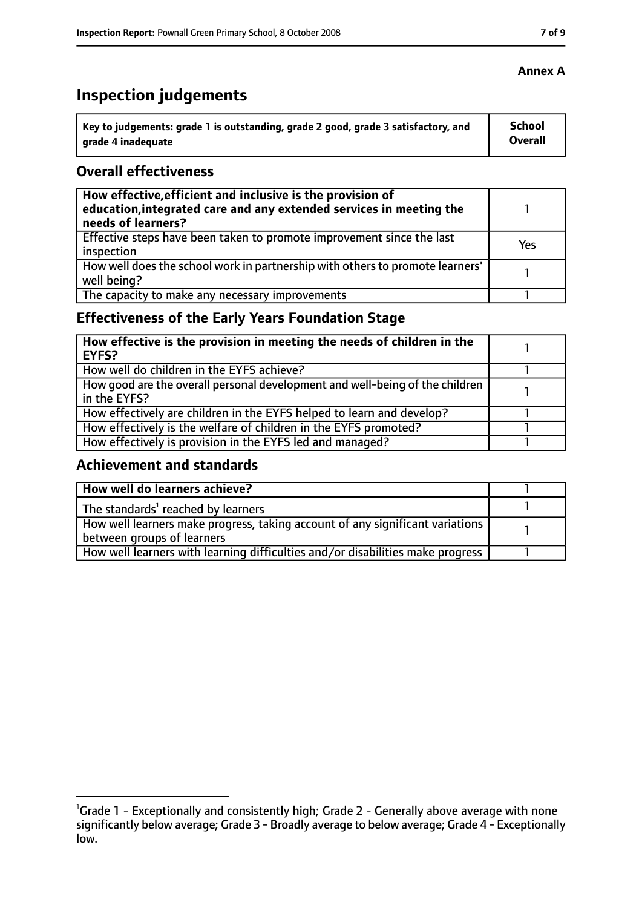# **Inspection judgements**

| Key to judgements: grade 1 is outstanding, grade 2 good, grade 3 satisfactory, and | <b>School</b>  |
|------------------------------------------------------------------------------------|----------------|
| arade 4 inadequate                                                                 | <b>Overall</b> |

## **Overall effectiveness**

| How effective, efficient and inclusive is the provision of<br>education, integrated care and any extended services in meeting the<br>needs of learners? |     |
|---------------------------------------------------------------------------------------------------------------------------------------------------------|-----|
| Effective steps have been taken to promote improvement since the last<br>inspection                                                                     | Yes |
| How well does the school work in partnership with others to promote learners'<br>well being?                                                            |     |
| The capacity to make any necessary improvements                                                                                                         |     |

## **Effectiveness of the Early Years Foundation Stage**

| How effective is the provision in meeting the needs of children in the<br><b>EYFS?</b>       |  |
|----------------------------------------------------------------------------------------------|--|
| How well do children in the EYFS achieve?                                                    |  |
| How good are the overall personal development and well-being of the children<br>in the EYFS? |  |
| How effectively are children in the EYFS helped to learn and develop?                        |  |
| How effectively is the welfare of children in the EYFS promoted?                             |  |
| How effectively is provision in the EYFS led and managed?                                    |  |

## **Achievement and standards**

| How well do learners achieve?                                                               |  |
|---------------------------------------------------------------------------------------------|--|
| $\vert$ The standards <sup>1</sup> reached by learners                                      |  |
| $\mid$ How well learners make progress, taking account of any significant variations $\mid$ |  |
| between groups of learners                                                                  |  |
| How well learners with learning difficulties and/or disabilities make progress              |  |

<sup>&</sup>lt;sup>1</sup>Grade 1 - Exceptionally and consistently high; Grade 2 - Generally above average with none significantly below average; Grade 3 - Broadly average to below average; Grade 4 - Exceptionally low.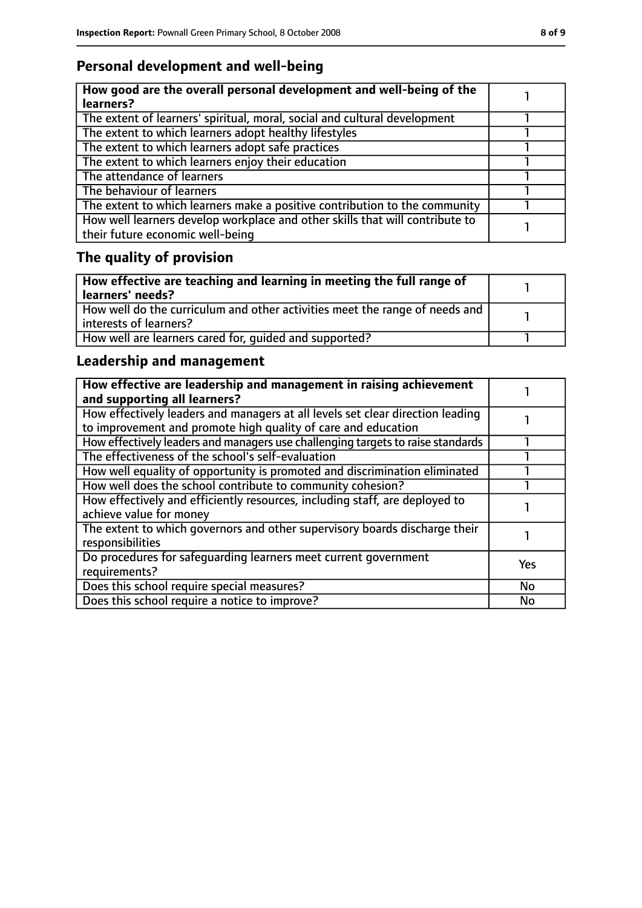## **Personal development and well-being**

| How good are the overall personal development and well-being of the<br>learners?                                 |  |
|------------------------------------------------------------------------------------------------------------------|--|
| The extent of learners' spiritual, moral, social and cultural development                                        |  |
| The extent to which learners adopt healthy lifestyles                                                            |  |
| The extent to which learners adopt safe practices                                                                |  |
| The extent to which learners enjoy their education                                                               |  |
| The attendance of learners                                                                                       |  |
| The behaviour of learners                                                                                        |  |
| The extent to which learners make a positive contribution to the community                                       |  |
| How well learners develop workplace and other skills that will contribute to<br>their future economic well-being |  |

# **The quality of provision**

| How effective are teaching and learning in meeting the full range of<br>learners' needs?              |  |
|-------------------------------------------------------------------------------------------------------|--|
| How well do the curriculum and other activities meet the range of needs and<br>interests of learners? |  |
| How well are learners cared for, quided and supported?                                                |  |

## **Leadership and management**

| How effective are leadership and management in raising achievement<br>and supporting all learners?                                              |           |
|-------------------------------------------------------------------------------------------------------------------------------------------------|-----------|
| How effectively leaders and managers at all levels set clear direction leading<br>to improvement and promote high quality of care and education |           |
| How effectively leaders and managers use challenging targets to raise standards                                                                 |           |
| The effectiveness of the school's self-evaluation                                                                                               |           |
| How well equality of opportunity is promoted and discrimination eliminated                                                                      |           |
| How well does the school contribute to community cohesion?                                                                                      |           |
| How effectively and efficiently resources, including staff, are deployed to<br>achieve value for money                                          |           |
| The extent to which governors and other supervisory boards discharge their<br>responsibilities                                                  |           |
| Do procedures for safequarding learners meet current government<br>requirements?                                                                | Yes       |
| Does this school require special measures?                                                                                                      | <b>No</b> |
| Does this school require a notice to improve?                                                                                                   | No        |